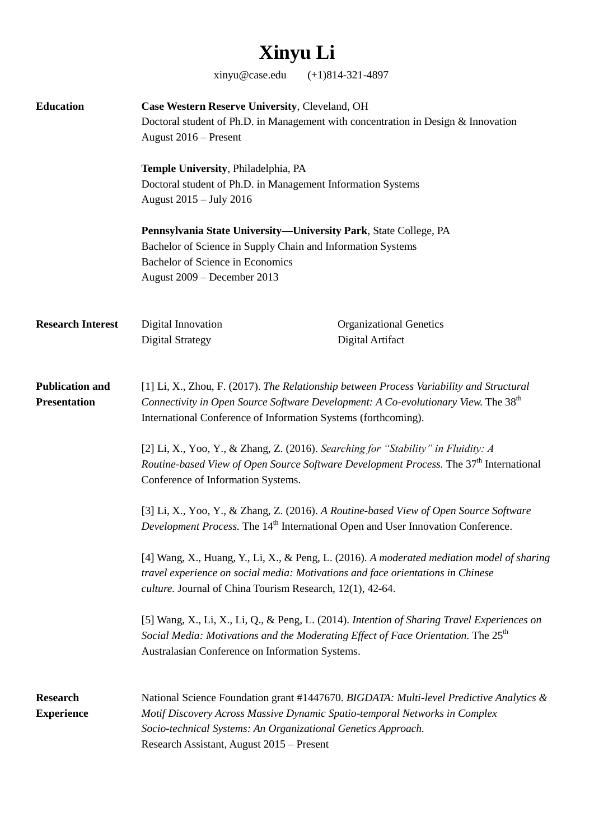## **Xinyu Li**

xinyu@case.edu (+1)814-321-4897

| <b>Education</b>                              | Case Western Reserve University, Cleveland, OH<br>Doctoral student of Ph.D. in Management with concentration in Design & Innovation<br>August 2016 - Present                                                                                                                                                                                                                                                                        |                                                                                                            |                                                                                                                                                                                                                                                 |
|-----------------------------------------------|-------------------------------------------------------------------------------------------------------------------------------------------------------------------------------------------------------------------------------------------------------------------------------------------------------------------------------------------------------------------------------------------------------------------------------------|------------------------------------------------------------------------------------------------------------|-------------------------------------------------------------------------------------------------------------------------------------------------------------------------------------------------------------------------------------------------|
|                                               | Temple University, Philadelphia, PA<br>Doctoral student of Ph.D. in Management Information Systems<br>August 2015 - July 2016                                                                                                                                                                                                                                                                                                       |                                                                                                            |                                                                                                                                                                                                                                                 |
|                                               | Pennsylvania State University-University Park, State College, PA<br>Bachelor of Science in Supply Chain and Information Systems<br>Bachelor of Science in Economics<br>August 2009 - December 2013                                                                                                                                                                                                                                  |                                                                                                            |                                                                                                                                                                                                                                                 |
| <b>Research Interest</b>                      | Digital Innovation<br><b>Digital Strategy</b>                                                                                                                                                                                                                                                                                                                                                                                       | <b>Organizational Genetics</b><br>Digital Artifact                                                         |                                                                                                                                                                                                                                                 |
| <b>Publication and</b><br><b>Presentation</b> | [1] Li, X., Zhou, F. (2017). The Relationship between Process Variability and Structural<br>Connectivity in Open Source Software Development: A Co-evolutionary View. The 38 <sup>th</sup><br>International Conference of Information Systems (forthcoming).                                                                                                                                                                        |                                                                                                            |                                                                                                                                                                                                                                                 |
|                                               | [2] Li, X., Yoo, Y., & Zhang, Z. (2016). Searching for "Stability" in Fluidity: A<br>Routine-based View of Open Source Software Development Process. The 37 <sup>th</sup> International<br>Conference of Information Systems.                                                                                                                                                                                                       |                                                                                                            |                                                                                                                                                                                                                                                 |
|                                               | [3] Li, X., Yoo, Y., & Zhang, Z. (2016). A Routine-based View of Open Source Software<br>Development Process. The 14 <sup>th</sup> International Open and User Innovation Conference.<br>[4] Wang, X., Huang, Y., Li, X., & Peng, L. (2016). A moderated mediation model of sharing<br>travel experience on social media: Motivations and face orientations in Chinese<br>culture. Journal of China Tourism Research, 12(1), 42-64. |                                                                                                            |                                                                                                                                                                                                                                                 |
|                                               |                                                                                                                                                                                                                                                                                                                                                                                                                                     |                                                                                                            | [5] Wang, X., Li, X., Li, Q., & Peng, L. (2014). Intention of Sharing Travel Experiences on<br>Social Media: Motivations and the Moderating Effect of Face Orientation. The 25 <sup>th</sup><br>Australasian Conference on Information Systems. |
|                                               | <b>Research</b><br><b>Experience</b>                                                                                                                                                                                                                                                                                                                                                                                                | Socio-technical Systems: An Organizational Genetics Approach.<br>Research Assistant, August 2015 - Present | National Science Foundation grant #1447670. BIGDATA: Multi-level Predictive Analytics &<br>Motif Discovery Across Massive Dynamic Spatio-temporal Networks in Complex                                                                           |